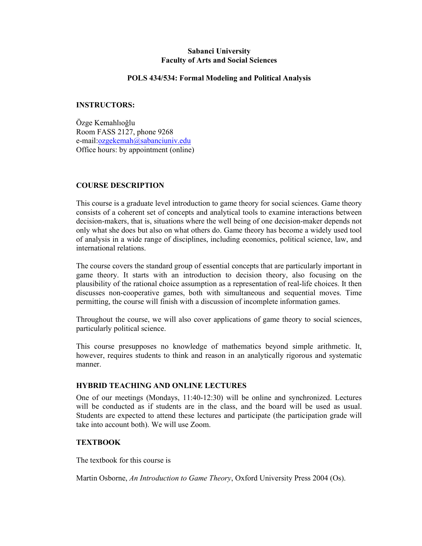# Sabanci University Faculty of Arts and Social Sciences

### POLS 434/534: Formal Modeling and Political Analysis

### INSTRUCTORS:

Özge Kemahlıoğlu Room FASS 2127, phone 9268 e-mail:ozgekemah@sabanciuniv.edu Office hours: by appointment (online)

## COURSE DESCRIPTION

This course is a graduate level introduction to game theory for social sciences. Game theory consists of a coherent set of concepts and analytical tools to examine interactions between decision-makers, that is, situations where the well being of one decision-maker depends not only what she does but also on what others do. Game theory has become a widely used tool of analysis in a wide range of disciplines, including economics, political science, law, and international relations.

The course covers the standard group of essential concepts that are particularly important in game theory. It starts with an introduction to decision theory, also focusing on the plausibility of the rational choice assumption as a representation of real-life choices. It then discusses non-cooperative games, both with simultaneous and sequential moves. Time permitting, the course will finish with a discussion of incomplete information games.

Throughout the course, we will also cover applications of game theory to social sciences, particularly political science.

This course presupposes no knowledge of mathematics beyond simple arithmetic. It, however, requires students to think and reason in an analytically rigorous and systematic manner.

### HYBRID TEACHING AND ONLINE LECTURES

One of our meetings (Mondays, 11:40-12:30) will be online and synchronized. Lectures will be conducted as if students are in the class, and the board will be used as usual. Students are expected to attend these lectures and participate (the participation grade will take into account both). We will use Zoom.

### **TEXTROOK**

The textbook for this course is

Martin Osborne, An Introduction to Game Theory, Oxford University Press 2004 (Os).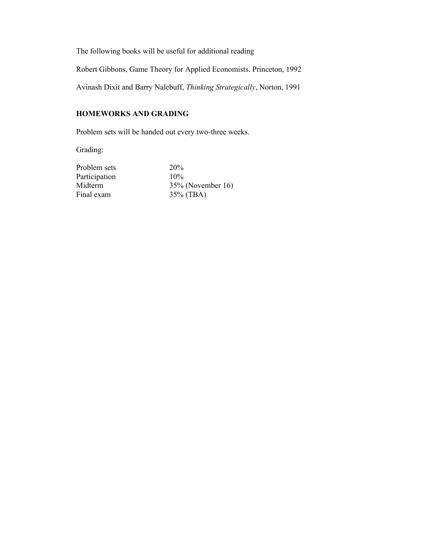The following books will be useful for additional reading

Robert Gibbons, Game Theory for Applied Economists. Princeton, 1992

Avinash Dixit and Barry Nalebuff, Thinking Strategically, Norton, 1991

# HOMEWORKS AND GRADING

Problem sets will be handed out every two-three weeks.

Grading:

Problem sets 20%<br>Participation 10% Participation

Midterm 35% (November 16)<br>Final exam 35% (TBA)  $35\%$  (TBA)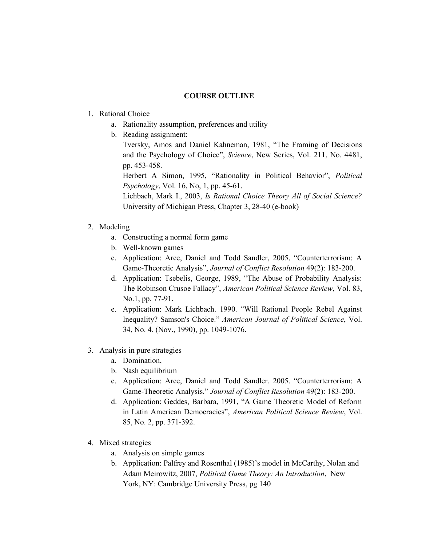### COURSE OUTLINE

## 1. Rational Choice

- a. Rationality assumption, preferences and utility
- b. Reading assignment:

Tversky, Amos and Daniel Kahneman, 1981, "The Framing of Decisions and the Psychology of Choice", Science, New Series, Vol. 211, No. 4481, pp. 453-458.

Herbert A Simon, 1995, "Rationality in Political Behavior", Political Psychology, Vol. 16, No, 1, pp. 45-61.

Lichbach, Mark I., 2003, Is Rational Choice Theory All of Social Science? University of Michigan Press, Chapter 3, 28-40 (e-book)

## 2. Modeling

- a. Constructing a normal form game
- b. Well-known games
- c. Application: Arce, Daniel and Todd Sandler, 2005, "Counterterrorism: A Game-Theoretic Analysis", Journal of Conflict Resolution 49(2): 183-200.
- d. Application: Tsebelis, George, 1989, "The Abuse of Probability Analysis: The Robinson Crusoe Fallacy", American Political Science Review, Vol. 83, No.1, pp. 77-91.
- e. Application: Mark Lichbach. 1990. "Will Rational People Rebel Against Inequality? Samson's Choice." American Journal of Political Science, Vol. 34, No. 4. (Nov., 1990), pp. 1049-1076.
- 3. Analysis in pure strategies
	- a. Domination,
	- b. Nash equilibrium
	- c. Application: Arce, Daniel and Todd Sandler. 2005. "Counterterrorism: A Game-Theoretic Analysis." Journal of Conflict Resolution 49(2): 183-200.
	- d. Application: Geddes, Barbara, 1991, "A Game Theoretic Model of Reform in Latin American Democracies", American Political Science Review, Vol. 85, No. 2, pp. 371-392.
- 4. Mixed strategies
	- a. Analysis on simple games
	- b. Application: Palfrey and Rosenthal (1985)'s model in McCarthy, Nolan and Adam Meirowitz, 2007, Political Game Theory: An Introduction, New York, NY: Cambridge University Press, pg 140